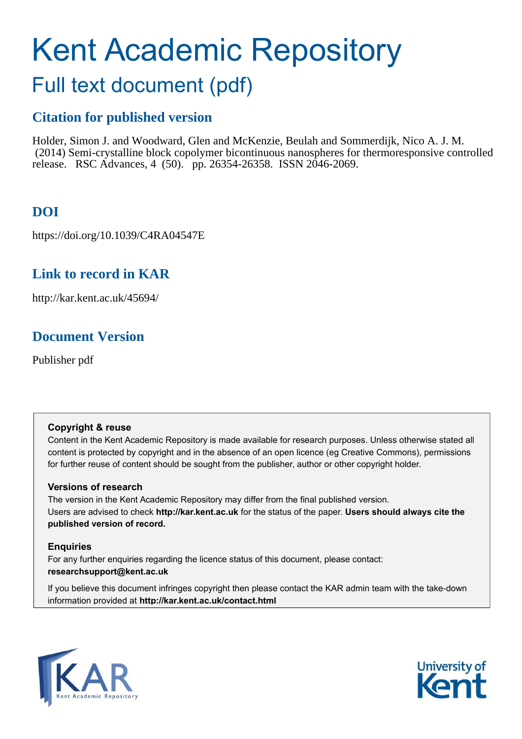# Kent Academic Repository

## Full text document (pdf)

## **Citation for published version**

Holder, Simon J. and Woodward, Glen and McKenzie, Beulah and Sommerdijk, Nico A. J. M. (2014) Semi-crystalline block copolymer bicontinuous nanospheres for thermoresponsive controlled release. RSC Advances, 4 (50). pp. 26354-26358. ISSN 2046-2069.

## **DOI**

https://doi.org/10.1039/C4RA04547E

## **Link to record in KAR**

http://kar.kent.ac.uk/45694/

## **Document Version**

Publisher pdf

#### **Copyright & reuse**

Content in the Kent Academic Repository is made available for research purposes. Unless otherwise stated all content is protected by copyright and in the absence of an open licence (eg Creative Commons), permissions for further reuse of content should be sought from the publisher, author or other copyright holder.

#### **Versions of research**

The version in the Kent Academic Repository may differ from the final published version. Users are advised to check **http://kar.kent.ac.uk** for the status of the paper. **Users should always cite the published version of record.**

#### **Enquiries**

For any further enquiries regarding the licence status of this document, please contact: **researchsupport@kent.ac.uk**

If you believe this document infringes copyright then please contact the KAR admin team with the take-down information provided at **http://kar.kent.ac.uk/contact.html**



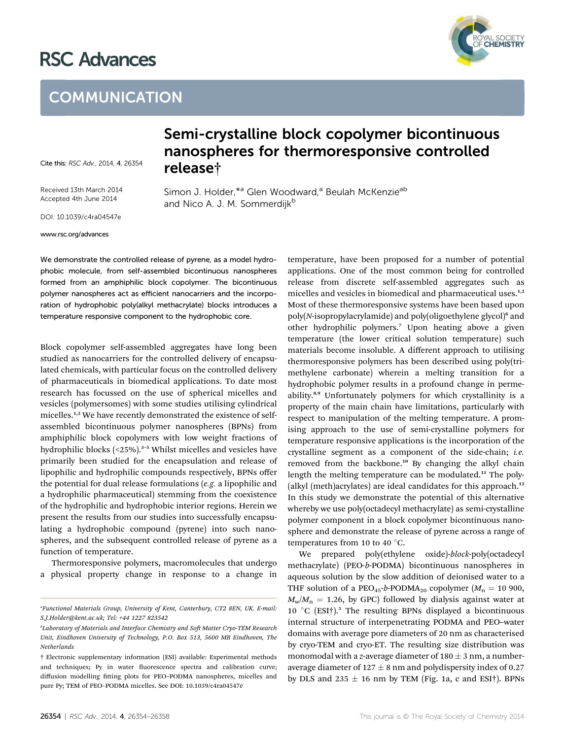## RSC Advances



## **COMMUNICATION**

Cite this: RSC Adv., 2014, 4, 26354

Received 13th March 2014 Accepted 4th June 2014

Semi-crystalline block copolymer bicontinuous nanospheres for thermoresponsive controlled release†

Simon J. Holder, \*<sup>a</sup> Glen Woodward,<sup>a</sup> Beulah McKenzie<sup>ab</sup> and Nico A. J. M. Sommerdijk<sup>b</sup>

DOI: 10.1039/c4ra04547e

#### www.rsc.org/advances

We demonstrate the controlled release of pyrene, as a model hydrophobic molecule, from self-assembled bicontinuous nanospheres formed from an amphiphilic block copolymer. The bicontinuous polymer nanospheres act as efficient nanocarriers and the incorporation of hydrophobic poly(alkyl methacrylate) blocks introduces a temperature responsive component to the hydrophobic core.

Block copolymer self-assembled aggregates have long been studied as nanocarriers for the controlled delivery of encapsulated chemicals, with particular focus on the controlled delivery of pharmaceuticals in biomedical applications. To date most research has focussed on the use of spherical micelles and vesicles (polymersomes) with some studies utilising cylindrical micelles.<sup>1,2</sup> We have recently demonstrated the existence of selfassembled bicontinuous polymer nanospheres (BPNs) from amphiphilic block copolymers with low weight fractions of hydrophilic blocks (<25%).<sup>3-5</sup> Whilst micelles and vesicles have primarily been studied for the encapsulation and release of lipophilic and hydrophilic compounds respectively, BPNs offer the potential for dual release formulations (*e.g.* a lipophilic and a hydrophilic pharmaceutical) stemming from the coexistence of the hydrophilic and hydrophobic interior regions. Herein we present the results from our studies into successfully encapsulating a hydrophobic compound (pyrene) into such nanospheres, and the subsequent controlled release of pyrene as a function of temperature.

Thermoresponsive polymers, macromolecules that undergo a physical property change in response to a change in temperature, have been proposed for a number of potential applications. One of the most common being for controlled release from discrete self-assembled aggregates such as micelles and vesicles in biomedical and pharmaceutical uses.<sup>1,2</sup> Most of these thermoresponsive systems have been based upon poly(N-isopropylacrylamide) and poly(oligoethylene glycol)<sup>6</sup> and other hydrophilic polymers.<sup>7</sup> Upon heating above a given temperature (the lower critical solution temperature) such materials become insoluble. A different approach to utilising thermoresponsive polymers has been described using poly(trimethylene carbonate) wherein a melting transition for a hydrophobic polymer results in a profound change in permeability.8,9 Unfortunately polymers for which crystallinity is a property of the main chain have limitations, particularly with respect to manipulation of the melting temperature. A promising approach to the use of semi-crystalline polymers for temperature responsive applications is the incorporation of the crystalline segment as a component of the side-chain; *i.e.* removed from the backbone.<sup>10</sup> By changing the alkyl chain length the melting temperature can be modulated.<sup>11</sup> The poly-(alkyl (meth)acrylates) are ideal candidates for this approach.<sup>12</sup> In this study we demonstrate the potential of this alternative whereby we use poly(octadecyl methacrylate) as semi-crystalline polymer component in a block copolymer bicontinuous nanosphere and demonstrate the release of pyrene across a range of temperatures from 10 to 40  $^{\circ}$ C.

We prepared poly(ethylene oxide)-*block*-poly(octadecyl methacrylate) (PEO-*b*-PODMA) bicontinuous nanospheres in aqueous solution by the slow addition of deionised water to a THF solution of a PEO<sub>45</sub>-b-PODMA<sub>20</sub> copolymer ( $M_n = 10\,900$ ,  $M_w/M_n = 1.26$ , by GPC) followed by dialysis against water at 10 °C (ESI†).<sup>5</sup> The resulting BPNs displayed a bicontinuous internal structure of interpenetrating PODMA and PEO–water domains with average pore diameters of 20 nm as characterised by cryo-TEM and cryo-ET. The resulting size distribution was monomodal with a *z*-average diameter of  $180 \pm 3$  nm, a numberaverage diameter of  $127 \pm 8$  nm and polydispersity index of 0.27 by DLS and  $235 \pm 16$  nm by TEM (Fig. 1a, c and ESI†). BPNs

*<sup>a</sup>Functional Materials Group, University of Kent, Canterbury, CT2 8EN, UK. E-mail: S.J.Holder@kent.ac.uk; Tel: +44 1227 823542*

*<sup>&</sup>lt;i>b***Laboratory of Materials and Interface Chemistry and Soft Matter Cryo-TEM Research** *Unit, Eindhoven University of Technology, P.O. Box 513, 5600 MB Eindhoven, The Netherlands*

<sup>†</sup> Electronic supplementary information (ESI) available: Experimental methods and techniques; Py in water fluorescence spectra and calibration curve; diffusion modelling fitting plots for PEO-PODMA nanospheres, micelles and pure Py; TEM of PEO–PODMA micelles. See DOI: 10.1039/c4ra04547e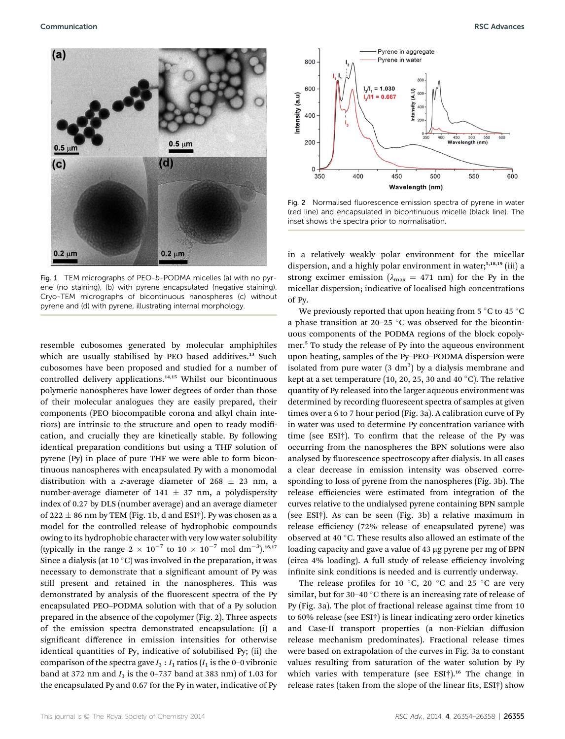

Fig. 1 TEM micrographs of PEO-b-PODMA micelles (a) with no pyrene (no staining), (b) with pyrene encapsulated (negative staining). Cryo-TEM micrographs of bicontinuous nanospheres (c) without pyrene and (d) with pyrene, illustrating internal morphology.

resemble cubosomes generated by molecular amphiphiles which are usually stabilised by PEO based additives.<sup>13</sup> Such cubosomes have been proposed and studied for a number of controlled delivery applications.14,15 Whilst our bicontinuous polymeric nanospheres have lower degrees of order than those of their molecular analogues they are easily prepared, their components (PEO biocompatible corona and alkyl chain interiors) are intrinsic to the structure and open to ready modification, and crucially they are kinetically stable. By following identical preparation conditions but using a THF solution of pyrene (Py) in place of pure THF we were able to form bicontinuous nanospheres with encapsulated Py with a monomodal distribution with a *z*-average diameter of  $268 \pm 23$  nm, a number-average diameter of 141  $\pm$  37 nm, a polydispersity index of 0.27 by DLS (number average) and an average diameter of 222  $\pm$  86 nm by TEM (Fig. 1b, d and ESI†). Py was chosen as a model for the controlled release of hydrophobic compounds owing to its hydrophobic character with very low water solubility (typically in the range  $2 \times 10^{-7}$  to  $10 \times 10^{-7}$  mol dm<sup>-3</sup>).<sup>16,17</sup> Since a dialysis (at 10 $^{\circ}$ C) was involved in the preparation, it was necessary to demonstrate that a significant amount of Py was still present and retained in the nanospheres. This was demonstrated by analysis of the fluorescent spectra of the Py encapsulated PEO–PODMA solution with that of a Py solution prepared in the absence of the copolymer (Fig. 2). Three aspects of the emission spectra demonstrated encapsulation: (i) a significant difference in emission intensities for otherwise identical quantities of Py, indicative of solubilised Py; (ii) the comparison of the spectra gave  $I_3: I_1$  ratios ( $I_1$  is the 0–0 vibronic band at 372 nm and  $I_3$  is the 0-737 band at 383 nm) of 1.03 for the encapsulated Py and 0.67 for the Py in water, indicative of Py



Fig. 2 Normalised fluorescence emission spectra of pyrene in water (red line) and encapsulated in bicontinuous micelle (black line). The inset shows the spectra prior to normalisation.

in a relatively weakly polar environment for the micellar dispersion, and a highly polar environment in water;<sup>5,18,19</sup> (iii) a strong excimer emission ( $\lambda_{\text{max}} = 471$  nm) for the Py in the micellar dispersion; indicative of localised high concentrations of Py.

We previously reported that upon heating from 5  $\mathrm{^{\circ}C}$  to 45  $\mathrm{^{\circ}C}$ a phase transition at 20-25  $\degree$ C was observed for the bicontinuous components of the PODMA regions of the block copolymer.<sup>5</sup> To study the release of Py into the aqueous environment upon heating, samples of the Py–PEO–PODMA dispersion were isolated from pure water  $(3 \text{ dm}^3)$  by a dialysis membrane and kept at a set temperature (10, 20, 25, 30 and 40  $^{\circ}$ C). The relative quantity of Py released into the larger aqueous environment was determined by recording fluorescent spectra of samples at given times over a 6 to 7 hour period (Fig. 3a). A calibration curve of Py in water was used to determine Py concentration variance with time (see ESI $\dagger$ ). To confirm that the release of the Py was occurring from the nanospheres the BPN solutions were also analysed by fluorescence spectroscopy after dialysis. In all cases a clear decrease in emission intensity was observed corresponding to loss of pyrene from the nanospheres (Fig. 3b). The release efficiencies were estimated from integration of the curves relative to the undialysed pyrene containing BPN sample (see ESI†). As can be seen (Fig. 3b) a relative maximum in release efficiency (72% release of encapsulated pyrene) was observed at 40  $^{\circ}$ C. These results also allowed an estimate of the loading capacity and gave a value of 43 µg pyrene per mg of BPN (circa 4% loading). A full study of release efficiency involving infinite sink conditions is needed and is currently underway.

The release profiles for 10  $\degree$ C, 20  $\degree$ C and 25  $\degree$ C are very similar, but for 30-40  $^{\circ}$ C there is an increasing rate of release of Py (Fig. 3a). The plot of fractional release against time from 10 to 60% release (see ESI†) is linear indicating zero order kinetics and Case-II transport properties (a non-Fickian diffusion release mechanism predominates). Fractional release times were based on extrapolation of the curves in Fig. 3a to constant values resulting from saturation of the water solution by Py which varies with temperature (see ESI<sup>†</sup>).<sup>16</sup> The change in release rates (taken from the slope of the linear fits,  $ESI<sup>†</sup>$ ) show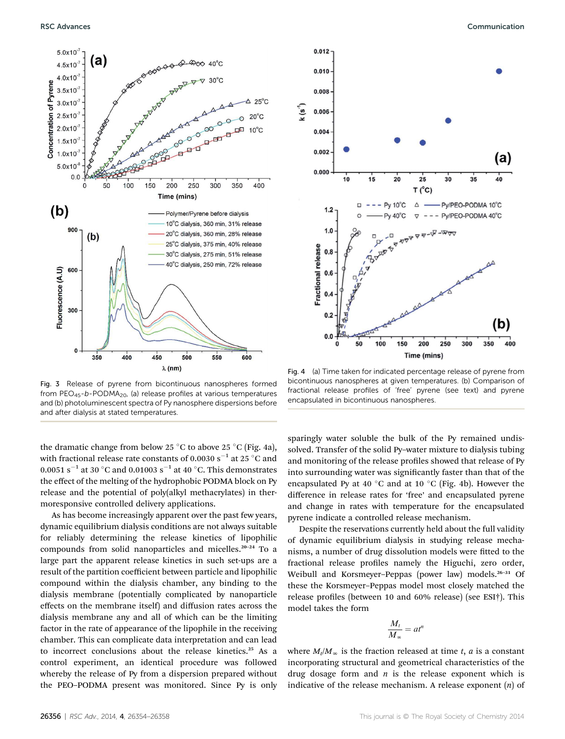

Fig. 3 Release of pyrene from bicontinuous nanospheres formed from  $PEO_{45}$ -b-PODMA<sub>20</sub>, (a) release profiles at various temperatures and (b) photoluminescent spectra of Py nanosphere dispersions before and after dialysis at stated temperatures.

the dramatic change from below 25 °C to above 25 °C (Fig. 4a), with fractional release rate constants of 0.0030 s<sup>-1</sup> at 25 °C and  $0.0051$  s $^{-1}$  at 30  $^{\circ}$ C and 0.01003 s $^{-1}$  at 40  $^{\circ}$ C. This demonstrates the effect of the melting of the hydrophobic PODMA block on Py release and the potential of poly(alkyl methacrylates) in thermoresponsive controlled delivery applications.

As has become increasingly apparent over the past few years, dynamic equilibrium dialysis conditions are not always suitable for reliably determining the release kinetics of lipophilic compounds from solid nanoparticles and micelles.<sup>20</sup>–<sup>24</sup> To a large part the apparent release kinetics in such set-ups are a result of the partition coefficient between particle and lipophilic compound within the dialysis chamber, any binding to the dialysis membrane (potentially complicated by nanoparticle effects on the membrane itself) and diffusion rates across the dialysis membrane any and all of which can be the limiting factor in the rate of appearance of the lipophile in the receiving chamber. This can complicate data interpretation and can lead to incorrect conclusions about the release kinetics.<sup>25</sup> As a control experiment, an identical procedure was followed whereby the release of Py from a dispersion prepared without the PEO–PODMA present was monitored. Since Py is only



Fig. 4 (a) Time taken for indicated percentage release of pyrene from bicontinuous nanospheres at given temperatures. (b) Comparison of fractional release profiles of 'free' pyrene (see text) and pyrene encapsulated in bicontinuous nanospheres.

sparingly water soluble the bulk of the Py remained undissolved. Transfer of the solid Py–water mixture to dialysis tubing and monitoring of the release profiles showed that release of Py into surrounding water was significantly faster than that of the encapsulated Py at 40  $^{\circ}$ C and at 10  $^{\circ}$ C (Fig. 4b). However the difference in release rates for 'free' and encapsulated pyrene and change in rates with temperature for the encapsulated pyrene indicate a controlled release mechanism.

Despite the reservations currently held about the full validity of dynamic equilibrium dialysis in studying release mechanisms, a number of drug dissolution models were fitted to the fractional release profiles namely the Higuchi, zero order, Weibull and Korsmeyer-Peppas (power law) models.<sup>26-31</sup> Of these the Korsmeyer–Peppas model most closely matched the release profiles (between 10 and 60% release) (see ESI†). This model takes the form

$$
\frac{M_t}{M_\infty} = at^n
$$

where  $M_t/M_\infty$  is the fraction released at time *t*, *a* is a constant incorporating structural and geometrical characteristics of the drug dosage form and *n* is the release exponent which is indicative of the release mechanism. A release exponent (*n*) of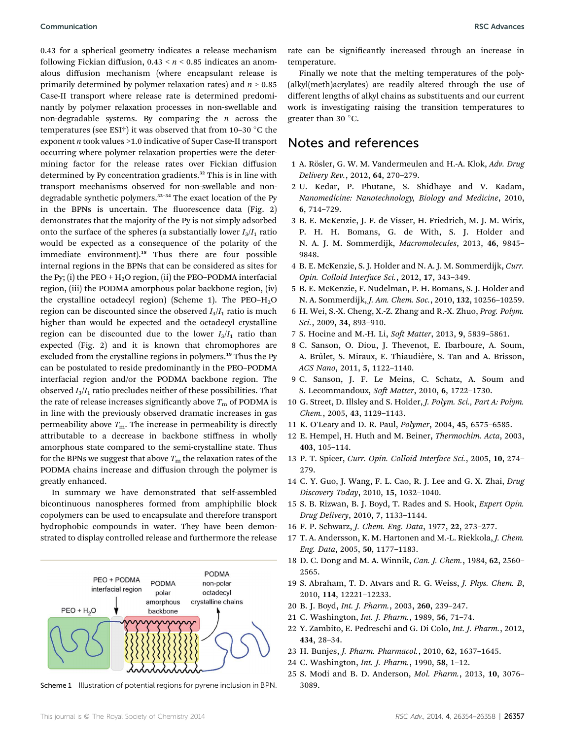0.43 for a spherical geometry indicates a release mechanism following Fickian diffusion, 0.43 < *n* < 0.85 indicates an anomalous diffusion mechanism (where encapsulant release is primarily determined by polymer relaxation rates) and *n* > 0.85 Case-II transport where release rate is determined predominantly by polymer relaxation processes in non-swellable and non-degradable systems. By comparing the *n* across the temperatures (see ESI†) it was observed that from 10–30  $^{\circ}$ C the exponent *n* took values >1.0 indicative of Super Case-II transport occurring where polymer relaxation properties were the determining factor for the release rates over Fickian diffusion determined by Py concentration gradients.<sup>32</sup> This is in line with transport mechanisms observed for non-swellable and nondegradable synthetic polymers.<sup>32</sup>–<sup>34</sup> The exact location of the Py in the BPNs is uncertain. The fluorescence data (Fig. 2) demonstrates that the majority of the Py is not simply adsorbed onto the surface of the spheres (a substantially lower  $I_3/I_1$  ratio would be expected as a consequence of the polarity of the immediate environment).<sup>18</sup> Thus there are four possible internal regions in the BPNs that can be considered as sites for the Py; (i) the PEO +  $H_2O$  region, (ii) the PEO–PODMA interfacial region, (iii) the PODMA amorphous polar backbone region, (iv) the crystalline octadecyl region) (Scheme 1). The PEO– $H_2O$ region can be discounted since the observed  $I_3/I_1$  ratio is much higher than would be expected and the octadecyl crystalline region can be discounted due to the lower  $I_3/I_1$  ratio than expected (Fig. 2) and it is known that chromophores are excluded from the crystalline regions in polymers.<sup>19</sup> Thus the Py can be postulated to reside predominantly in the PEO–PODMA interfacial region and/or the PODMA backbone region. The observed  $I_3/I_1$  ratio precludes neither of these possibilities. That the rate of release increases significantly above  $T<sub>m</sub>$  of PODMA is in line with the previously observed dramatic increases in gas permeability above  $T<sub>m</sub>$ . The increase in permeability is directly attributable to a decrease in backbone stiffness in wholly amorphous state compared to the semi-crystalline state. Thus for the BPNs we suggest that above  $T<sub>m</sub>$  the relaxation rates of the PODMA chains increase and diffusion through the polymer is greatly enhanced.

In summary we have demonstrated that self-assembled bicontinuous nanospheres formed from amphiphilic block copolymers can be used to encapsulate and therefore transport hydrophobic compounds in water. They have been demonstrated to display controlled release and furthermore the release



Scheme 1 Illustration of potential regions for pyrene inclusion in BPN. 3089.

rate can be significantly increased through an increase in temperature.

Finally we note that the melting temperatures of the poly- (alkyl(meth)acrylates) are readily altered through the use of different lengths of alkyl chains as substituents and our current work is investigating raising the transition temperatures to greater than 30 $\degree$ C.

#### Notes and references

- 1 A. R¨osler, G. W. M. Vandermeulen and H.-A. Klok, *Adv. Drug Delivery Rev.*, 2012, 64, 270–279.
- 2 U. Kedar, P. Phutane, S. Shidhaye and V. Kadam, *Nanomedicine: Nanotechnology, Biology and Medicine*, 2010, 6, 714–729.
- 3 B. E. McKenzie, J. F. de Visser, H. Friedrich, M. J. M. Wirix, P. H. H. Bomans, G. de With, S. J. Holder and N. A. J. M. Sommerdijk, *Macromolecules*, 2013, 46, 9845– 9848.
- 4 B. E. McKenzie, S. J. Holder and N. A. J. M. Sommerdijk, *Curr. Opin. Colloid Interface Sci.*, 2012, 17, 343–349.
- 5 B. E. McKenzie, F. Nudelman, P. H. Bomans, S. J. Holder and N. A. Sommerdijk, *J. Am. Chem. Soc.*, 2010, 132, 10256–10259.
- 6 H. Wei, S.-X. Cheng, X.-Z. Zhang and R.-X. Zhuo, *Prog. Polym. Sci.*, 2009, 34, 893–910.
- 7 S. Hocine and M.-H. Li, *Soft Matter*, 2013, 9, 5839-5861.
- 8 C. Sanson, O. Diou, J. Thevenot, E. Ibarboure, A. Soum, A. Brûlet, S. Miraux, E. Thiaudière, S. Tan and A. Brisson, *ACS Nano*, 2011, 5, 1122–1140.
- 9 C. Sanson, J. F. Le Meins, C. Schatz, A. Soum and S. Lecommandoux, *Soft Matter*, 2010, 6, 1722-1730.
- 10 G. Street, D. Illsley and S. Holder, *J. Polym. Sci., Part A: Polym. Chem.*, 2005, 43, 1129–1143.
- 11 K. O'Leary and D. R. Paul, *Polymer*, 2004, 45, 6575–6585.
- 12 E. Hempel, H. Huth and M. Beiner, *Thermochim. Acta*, 2003, 403, 105–114.
- 13 P. T. Spicer, *Curr. Opin. Colloid Interface Sci.*, 2005, 10, 274– 279.
- 14 C. Y. Guo, J. Wang, F. L. Cao, R. J. Lee and G. X. Zhai, *Drug Discovery Today*, 2010, 15, 1032–1040.
- 15 S. B. Rizwan, B. J. Boyd, T. Rades and S. Hook, *Expert Opin. Drug Delivery*, 2010, 7, 1133–1144.
- 16 F. P. Schwarz, *J. Chem. Eng. Data*, 1977, 22, 273–277.
- 17 T. A. Andersson, K. M. Hartonen and M.-L. Riekkola, *J. Chem. Eng. Data*, 2005, 50, 1177–1183.
- 18 D. C. Dong and M. A. Winnik, *Can. J. Chem.*, 1984, 62, 2560– 2565.
- 19 S. Abraham, T. D. Atvars and R. G. Weiss, *J. Phys. Chem. B*, 2010, 114, 12221–12233.
- 20 B. J. Boyd, *Int. J. Pharm.*, 2003, 260, 239–247.
- 21 C. Washington, *Int. J. Pharm.*, 1989, 56, 71–74.
- 22 Y. Zambito, E. Pedreschi and G. Di Colo, *Int. J. Pharm.*, 2012, 434, 28–34.
- 23 H. Bunjes, *J. Pharm. Pharmacol.*, 2010, 62, 1637–1645.
- 24 C. Washington, *Int. J. Pharm.*, 1990, 58, 1–12.
- 25 S. Modi and B. D. Anderson, *Mol. Pharm.*, 2013, 10, 3076–